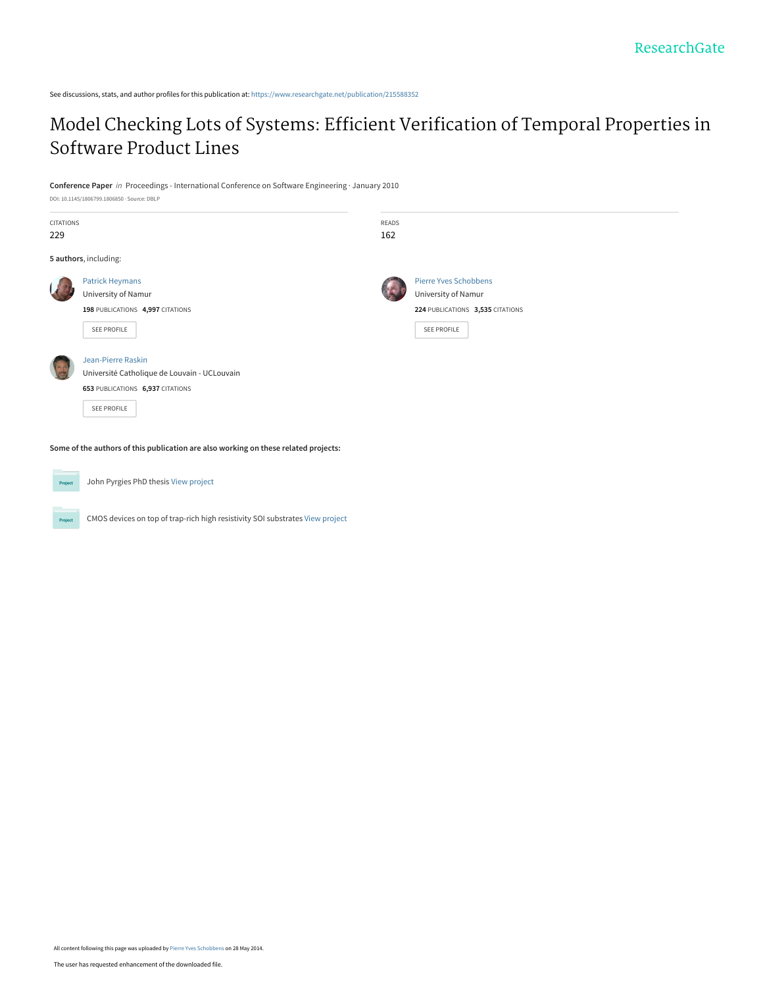See discussions, stats, and author profiles for this publication at: [https://www.researchgate.net/publication/215588352](https://www.researchgate.net/publication/215588352_Model_Checking_Lots_of_Systems_Efficient_Verification_of_Temporal_Properties_in_Software_Product_Lines?enrichId=rgreq-ada0b31a602b53ed88a7f36a5662dbee-XXX&enrichSource=Y292ZXJQYWdlOzIxNTU4ODM1MjtBUzoxMDE4MDg0NDE2NTk0MDBAMTQwMTI4NDQzMzM1OA%3D%3D&el=1_x_2&_esc=publicationCoverPdf)

# [Model Checking Lots of Systems: Efficient Verification of Temporal Properties in](https://www.researchgate.net/publication/215588352_Model_Checking_Lots_of_Systems_Efficient_Verification_of_Temporal_Properties_in_Software_Product_Lines?enrichId=rgreq-ada0b31a602b53ed88a7f36a5662dbee-XXX&enrichSource=Y292ZXJQYWdlOzIxNTU4ODM1MjtBUzoxMDE4MDg0NDE2NTk0MDBAMTQwMTI4NDQzMzM1OA%3D%3D&el=1_x_3&_esc=publicationCoverPdf) Software Product Lines

**Conference Paper** in Proceedings - International Conference on Software Engineering · January 2010

| DOI: 10.1145/1806799.1806850 · Source: DBLP |  |
|---------------------------------------------|--|
|                                             |  |

| CITATIONS<br>229          |                                                                                                                       | READS<br>162 |                                                                                                        |
|---------------------------|-----------------------------------------------------------------------------------------------------------------------|--------------|--------------------------------------------------------------------------------------------------------|
|                           | 5 authors, including:                                                                                                 |              |                                                                                                        |
|                           | <b>Patrick Heymans</b><br>University of Namur<br>198 PUBLICATIONS 4,997 CITATIONS<br>SEE PROFILE                      |              | <b>Pierre Yves Schobbens</b><br>University of Namur<br>224 PUBLICATIONS 3,535 CITATIONS<br>SEE PROFILE |
| $\mathbf{1} = \mathbf{0}$ | Jean-Pierre Raskin<br>Université Catholique de Louvain - UCLouvain<br>653 PUBLICATIONS 6,937 CITATIONS<br>SEE PROFILE |              |                                                                                                        |

**Some of the authors of this publication are also working on these related projects:**



**Project** 

John Pyrgies PhD thesis [View project](https://www.researchgate.net/project/John-Pyrgies-PhD-thesis?enrichId=rgreq-ada0b31a602b53ed88a7f36a5662dbee-XXX&enrichSource=Y292ZXJQYWdlOzIxNTU4ODM1MjtBUzoxMDE4MDg0NDE2NTk0MDBAMTQwMTI4NDQzMzM1OA%3D%3D&el=1_x_9&_esc=publicationCoverPdf)

CMOS devices on top of trap-rich high resistivity SOI substrates [View project](https://www.researchgate.net/project/CMOS-devices-on-top-of-trap-rich-high-resistivity-SOI-substrates?enrichId=rgreq-ada0b31a602b53ed88a7f36a5662dbee-XXX&enrichSource=Y292ZXJQYWdlOzIxNTU4ODM1MjtBUzoxMDE4MDg0NDE2NTk0MDBAMTQwMTI4NDQzMzM1OA%3D%3D&el=1_x_9&_esc=publicationCoverPdf)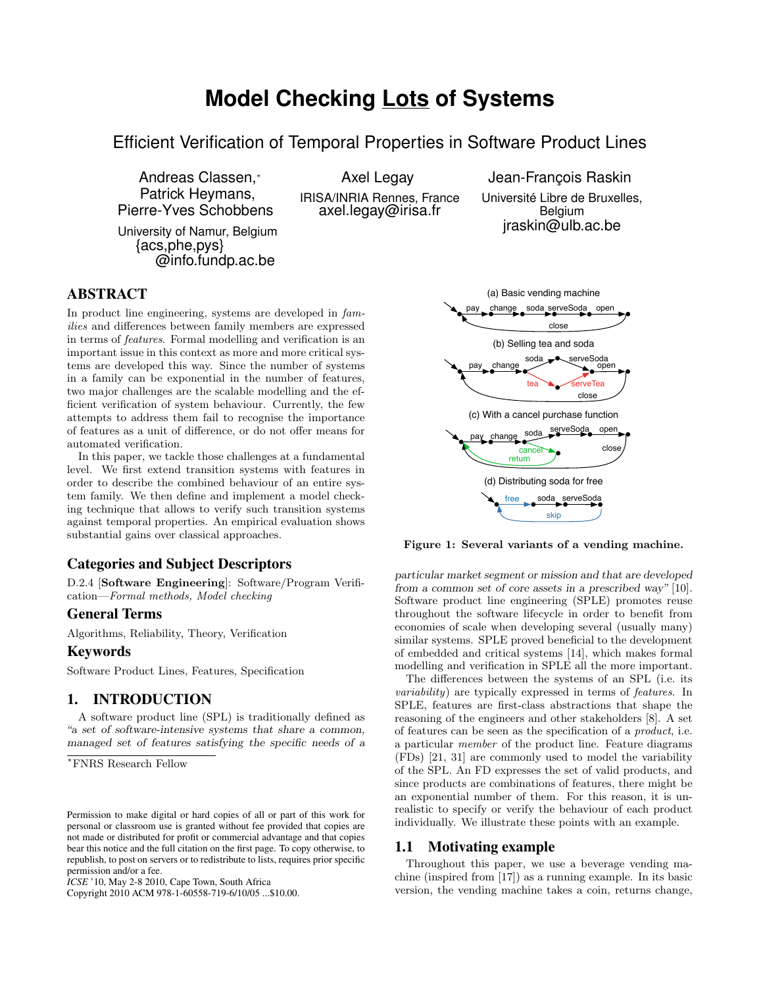# **Model Checking Lots of Systems**

Efficient Verification of Temporal Properties in Software Product Lines

Andreas Classen,<sup>∗</sup> Patrick Heymans, Pierre-Yves Schobbens University of Namur, Belgium {acs,phe,pys}

Axel Legay IRISA/INRIA Rennes, France axel.legay@irisa.fr

Jean-François Raskin

Université Libre de Bruxelles, Belgium jraskin@ulb.ac.be

# ABSTRACT

In product line engineering, systems are developed in families and differences between family members are expressed in terms of features. Formal modelling and verification is an important issue in this context as more and more critical systems are developed this way. Since the number of systems in a family can be exponential in the number of features, two major challenges are the scalable modelling and the efficient verification of system behaviour. Currently, the few attempts to address them fail to recognise the importance of features as a unit of difference, or do not offer means for automated verification.

@info.fundp.ac.be

In this paper, we tackle those challenges at a fundamental level. We first extend transition systems with features in order to describe the combined behaviour of an entire system family. We then define and implement a model checking technique that allows to verify such transition systems against temporal properties. An empirical evaluation shows substantial gains over classical approaches.

# Categories and Subject Descriptors

D.2.4 [Software Engineering]: Software/Program Verification—Formal methods, Model checking

## General Terms

Algorithms, Reliability, Theory, Verification

## Keywords

Software Product Lines, Features, Specification

## 1. INTRODUCTION

A software product line (SPL) is traditionally defined as "a set of software-intensive systems that share a common, managed set of features satisfying the specific needs of a

Copyright 2010 ACM 978-1-60558-719-6/10/05 ...\$10.00.



<span id="page-1-0"></span>Figure 1: Several variants of a vending machine.

particular market segment or mission and that are developed from a common set of core assets in a prescribed way" [\[10\]](#page-10-0). Software product line engineering (SPLE) promotes reuse throughout the software lifecycle in order to benefit from economies of scale when developing several (usually many) similar systems. SPLE proved beneficial to the development of embedded and critical systems [\[14\]](#page-10-1), which makes formal modelling and verification in SPLE all the more important.

The differences between the systems of an SPL (i.e. its variability) are typically expressed in terms of features. In SPLE, features are first-class abstractions that shape the reasoning of the engineers and other stakeholders [\[8\]](#page-10-2). A set of features can be seen as the specification of a product, i.e. a particular member of the product line. Feature diagrams (FDs) [\[21,](#page-10-3) [31\]](#page-10-4) are commonly used to model the variability of the SPL. An FD expresses the set of valid products, and since products are combinations of features, there might be an exponential number of them. For this reason, it is unrealistic to specify or verify the behaviour of each product individually. We illustrate these points with an example.

## 1.1 Motivating example

Throughout this paper, we use a beverage vending machine (inspired from [\[17\]](#page-10-5)) as a running example. In its basic version, the vending machine takes a coin, returns change,

<sup>∗</sup>FNRS Research Fellow

Permission to make digital or hard copies of all or part of this work for personal or classroom use is granted without fee provided that copies are not made or distributed for profit or commercial advantage and that copies bear this notice and the full citation on the first page. To copy otherwise, to republish, to post on servers or to redistribute to lists, requires prior specific permission and/or a fee.

*ICSE* '10, May 2-8 2010, Cape Town, South Africa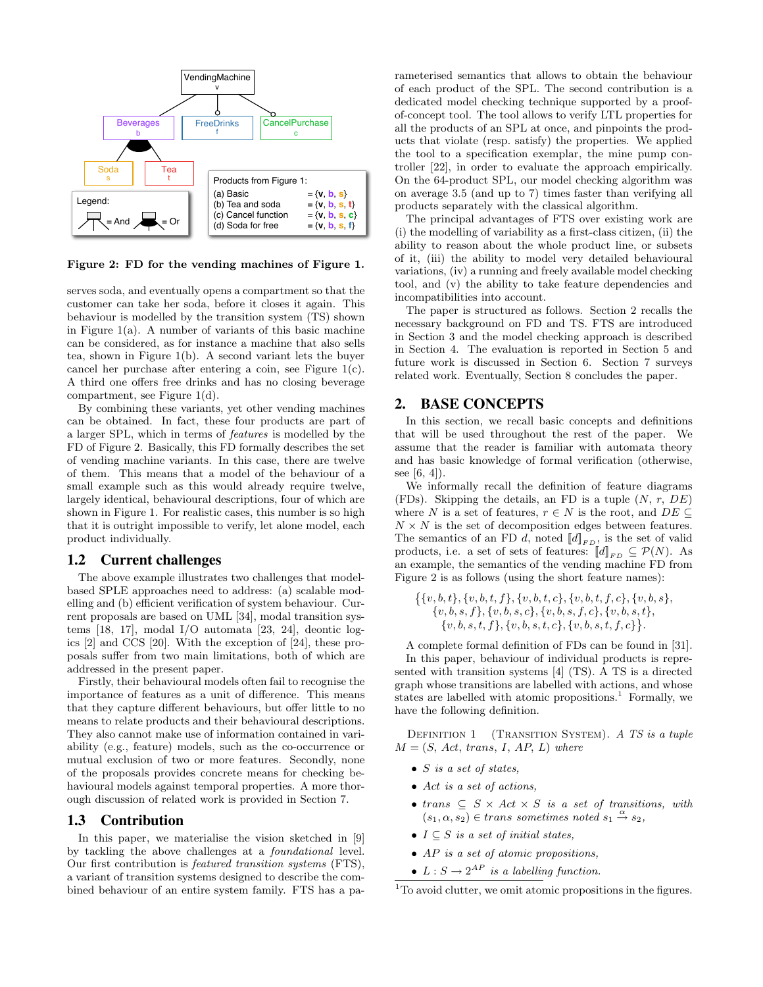

<span id="page-2-0"></span>Figure 2: FD for the vending machines of Figure [1.](#page-1-0)

serves soda, and eventually opens a compartment so that the customer can take her soda, before it closes it again. This behaviour is modelled by the transition system (TS) shown in Figure  $1(a)$  $1(a)$ . A number of variants of this basic machine can be considered, as for instance a machine that also sells tea, shown in Figure [1\(](#page-1-0)b). A second variant lets the buyer cancel her purchase after entering a coin, see Figure [1\(](#page-1-0)c). A third one offers free drinks and has no closing beverage compartment, see Figure [1\(](#page-1-0)d).

By combining these variants, yet other vending machines can be obtained. In fact, these four products are part of a larger SPL, which in terms of features is modelled by the FD of Figure [2.](#page-2-0) Basically, this FD formally describes the set of vending machine variants. In this case, there are twelve of them. This means that a model of the behaviour of a small example such as this would already require twelve, largely identical, behavioural descriptions, four of which are shown in Figure [1.](#page-1-0) For realistic cases, this number is so high that it is outright impossible to verify, let alone model, each product individually.

#### 1.2 Current challenges

The above example illustrates two challenges that modelbased SPLE approaches need to address: (a) scalable modelling and (b) efficient verification of system behaviour. Current proposals are based on UML [\[34\]](#page-10-6), modal transition systems [\[18,](#page-10-7) [17\]](#page-10-5), modal I/O automata [\[23,](#page-10-8) [24\]](#page-10-9), deontic logics [\[2\]](#page-10-10) and CCS [\[20\]](#page-10-11). With the exception of [\[24\]](#page-10-9), these proposals suffer from two main limitations, both of which are addressed in the present paper.

Firstly, their behavioural models often fail to recognise the importance of features as a unit of difference. This means that they capture different behaviours, but offer little to no means to relate products and their behavioural descriptions. They also cannot make use of information contained in variability (e.g., feature) models, such as the co-occurrence or mutual exclusion of two or more features. Secondly, none of the proposals provides concrete means for checking behavioural models against temporal properties. A more thorough discussion of related work is provided in Section [7.](#page-8-0)

#### 1.3 Contribution

In this paper, we materialise the vision sketched in [\[9\]](#page-10-12) by tackling the above challenges at a foundational level. Our first contribution is featured transition systems (FTS), a variant of transition systems designed to describe the combined behaviour of an entire system family. FTS has a parameterised semantics that allows to obtain the behaviour of each product of the SPL. The second contribution is a dedicated model checking technique supported by a proofof-concept tool. The tool allows to verify LTL properties for all the products of an SPL at once, and pinpoints the products that violate (resp. satisfy) the properties. We applied the tool to a specification exemplar, the mine pump controller [\[22\]](#page-10-13), in order to evaluate the approach empirically. On the 64-product SPL, our model checking algorithm was on average 3.5 (and up to 7) times faster than verifying all products separately with the classical algorithm.

The principal advantages of FTS over existing work are (i) the modelling of variability as a first-class citizen, (ii) the ability to reason about the whole product line, or subsets of it, (iii) the ability to model very detailed behavioural variations, (iv) a running and freely available model checking tool, and (v) the ability to take feature dependencies and incompatibilities into account.

The paper is structured as follows. Section [2](#page-2-1) recalls the necessary background on FD and TS. FTS are introduced in Section [3](#page-3-0) and the model checking approach is described in Section [4.](#page-5-0) The evaluation is reported in Section [5](#page-7-0) and future work is discussed in Section [6.](#page-8-1) Section [7](#page-8-0) surveys related work. Eventually, Section [8](#page-9-0) concludes the paper.

## <span id="page-2-1"></span>2. BASE CONCEPTS

In this section, we recall basic concepts and definitions that will be used throughout the rest of the paper. We assume that the reader is familiar with automata theory and has basic knowledge of formal verification (otherwise, see [\[6,](#page-10-14) [4\]](#page-10-15)).

We informally recall the definition of feature diagrams (FDs). Skipping the details, an FD is a tuple  $(N, r, DE)$ where N is a set of features,  $r \in N$  is the root, and  $DE \subseteq$  $N \times N$  is the set of decomposition edges between features. The semantics of an FD d, noted  $[[d]]_{FD}$ , is the set of valid products, i.e. a set of sets of features:  $[[d]]_{FD} \subseteq \mathcal{P}(N)$ . As an example, the semantics of the vending machine FD from Figure [2](#page-2-0) is as follows (using the short feature names):

$$
\{\{v,b,t\},\{v,b,t,f\},\{v,b,t,c\},\{v,b,t,f,c\},\{v,b,s\},\\\{v,b,s,f\},\{v,b,s,c\},\{v,b,s,f,c\},\{v,b,s,t\},\\\{v,b,s,t,f\},\{v,b,s,t,c\},\{v,b,s,t,f,c\}\}.
$$

A complete formal definition of FDs can be found in [\[31\]](#page-10-4). In this paper, behaviour of individual products is represented with transition systems [\[4\]](#page-10-15) (TS). A TS is a directed graph whose transitions are labelled with actions, and whose states are labelled with atomic propositions.<sup>[1](#page-2-2)</sup> Formally, we have the following definition.

<span id="page-2-3"></span>DEFINITION 1 (TRANSITION SYSTEM). A TS is a tuple  $M = (S, Act, trans, I, AP, L)$  where

- $S$  is a set of states,
- Act is a set of actions,
- trans  $\subseteq S \times Act \times S$  is a set of transitions, with  $(s_1, \alpha, \overline{s_2}) \in trans\; sometimes\; noted\; s_1 \stackrel{\alpha}{\rightarrow} s_2,$
- $I \subseteq S$  is a set of initial states,
- AP is a set of atomic propositions,
- $L: S \to 2^{AP}$  is a labelling function.

<span id="page-2-2"></span> $1^1$ To avoid clutter, we omit atomic propositions in the figures.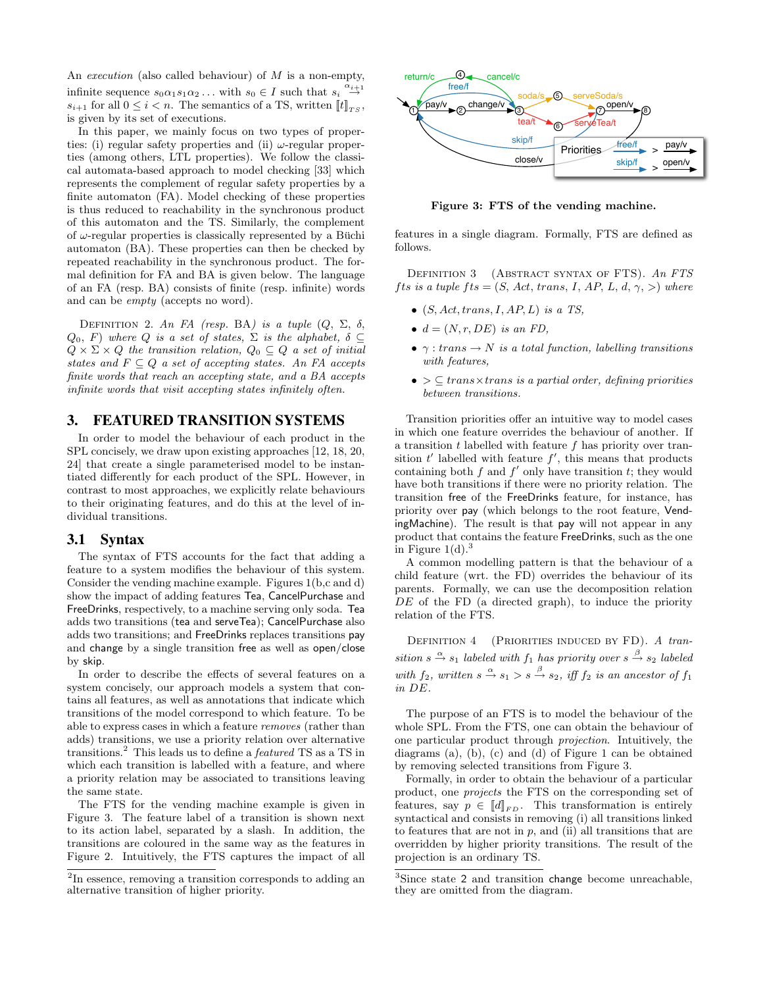An *execution* (also called behaviour) of  $M$  is a non-empty, infinite sequence  $s_0 \alpha_1 s_1 \alpha_2 \ldots$  with  $s_0 \in I$  such that  $s_i \stackrel{\alpha_{i+1}}{\rightarrow}$  $s_{i+1}$  for all  $0 \leq i < n$ . The semantics of a TS, written  $[[t]]_{TS}$ , is given by its set of executions.

In this paper, we mainly focus on two types of properties: (i) regular safety properties and (ii)  $\omega$ -regular properties (among others, LTL properties). We follow the classical automata-based approach to model checking [\[33\]](#page-10-16) which represents the complement of regular safety properties by a finite automaton (FA). Model checking of these properties is thus reduced to reachability in the synchronous product of this automaton and the TS. Similarly, the complement of  $\omega$ -regular properties is classically represented by a Büchi automaton (BA). These properties can then be checked by repeated reachability in the synchronous product. The formal definition for FA and BA is given below. The language of an FA (resp. BA) consists of finite (resp. infinite) words and can be empty (accepts no word).

DEFINITION 2. An FA (resp. BA) is a tuple  $(Q, \Sigma, \delta,$  $(Q_0, F)$  where Q is a set of states,  $\Sigma$  is the alphabet,  $\delta \subseteq$  $Q \times \Sigma \times Q$  the transition relation,  $Q_0 \subseteq Q$  a set of initial states and  $F \subseteq Q$  a set of accepting states. An FA accepts finite words that reach an accepting state, and a BA accepts infinite words that visit accepting states infinitely often.

#### <span id="page-3-0"></span>3. FEATURED TRANSITION SYSTEMS

In order to model the behaviour of each product in the SPL concisely, we draw upon existing approaches [\[12,](#page-10-17) [18,](#page-10-7) [20,](#page-10-11) [24\]](#page-10-9) that create a single parameterised model to be instantiated differently for each product of the SPL. However, in contrast to most approaches, we explicitly relate behaviours to their originating features, and do this at the level of individual transitions.

#### 3.1 Syntax

The syntax of FTS accounts for the fact that adding a feature to a system modifies the behaviour of this system. Consider the vending machine example. Figures [1\(](#page-1-0)b,c and d) show the impact of adding features Tea, CancelPurchase and FreeDrinks, respectively, to a machine serving only soda. Tea adds two transitions (tea and serveTea); CancelPurchase also adds two transitions; and FreeDrinks replaces transitions pay and change by a single transition free as well as open/close by skip.

In order to describe the effects of several features on a system concisely, our approach models a system that contains all features, as well as annotations that indicate which transitions of the model correspond to which feature. To be able to express cases in which a feature removes (rather than adds) transitions, we use a priority relation over alternative transitions.[2](#page-3-1) This leads us to define a featured TS as a TS in which each transition is labelled with a feature, and where a priority relation may be associated to transitions leaving the same state.

The FTS for the vending machine example is given in Figure [3.](#page-3-2) The feature label of a transition is shown next to its action label, separated by a slash. In addition, the transitions are coloured in the same way as the features in Figure [2.](#page-2-0) Intuitively, the FTS captures the impact of all



<span id="page-3-2"></span>Figure 3: FTS of the vending machine.

features in a single diagram. Formally, FTS are defined as follows.

<span id="page-3-4"></span>DEFINITION 3 (ABSTRACT SYNTAX OF FTS). An FTS fts is a tuple fts =  $(S, Act, trans, I, AP, L, d, \gamma, >)$  where

- $\bullet$   $(S, Act, trans, I, AP, L)$  is a TS,
- $d = (N, r, DE)$  is an FD,
- $\gamma: trans \rightarrow N$  is a total function, labelling transitions with features,
- $\bullet$  >  $\subseteq$  trans $\times$ trans is a partial order, defining priorities between transitions.

Transition priorities offer an intuitive way to model cases in which one feature overrides the behaviour of another. If a transition  $t$  labelled with feature  $f$  has priority over transition  $t'$  labelled with feature  $f'$ , this means that products containing both  $f$  and  $f'$  only have transition  $t$ ; they would have both transitions if there were no priority relation. The transition free of the FreeDrinks feature, for instance, has priority over pay (which belongs to the root feature, VendingMachine). The result is that pay will not appear in any product that contains the feature FreeDrinks, such as the one in Figure  $1(d)$  $1(d)$ .<sup>[3](#page-3-3)</sup>

A common modelling pattern is that the behaviour of a child feature (wrt. the FD) overrides the behaviour of its parents. Formally, we can use the decomposition relation DE of the FD (a directed graph), to induce the priority relation of the FTS.

DEFINITION 4 (PRIORITIES INDUCED BY FD). A transition  $s \stackrel{\alpha}{\rightarrow} s_1$  labeled with  $f_1$  has priority over  $s \stackrel{\beta}{\rightarrow} s_2$  labeled with  $f_2$ , written  $s \stackrel{\alpha}{\rightarrow} s_1 > s \stackrel{\beta}{\rightarrow} s_2$ , iff  $f_2$  is an ancestor of  $f_1$ in DE.

The purpose of an FTS is to model the behaviour of the whole SPL. From the FTS, one can obtain the behaviour of one particular product through projection. Intuitively, the diagrams (a), (b), (c) and (d) of Figure [1](#page-1-0) can be obtained by removing selected transitions from Figure [3.](#page-3-2)

Formally, in order to obtain the behaviour of a particular product, one projects the FTS on the corresponding set of features, say  $p \in [d]_{FD}$ . This transformation is entirely syntactical and consists in removing (i) all transitions linked to features that are not in  $p$ , and (ii) all transitions that are overridden by higher priority transitions. The result of the projection is an ordinary TS.

<span id="page-3-1"></span><sup>&</sup>lt;sup>2</sup>In essence, removing a transition corresponds to adding an alternative transition of higher priority.

<span id="page-3-5"></span><span id="page-3-3"></span><sup>3</sup>Since state 2 and transition change become unreachable, they are omitted from the diagram.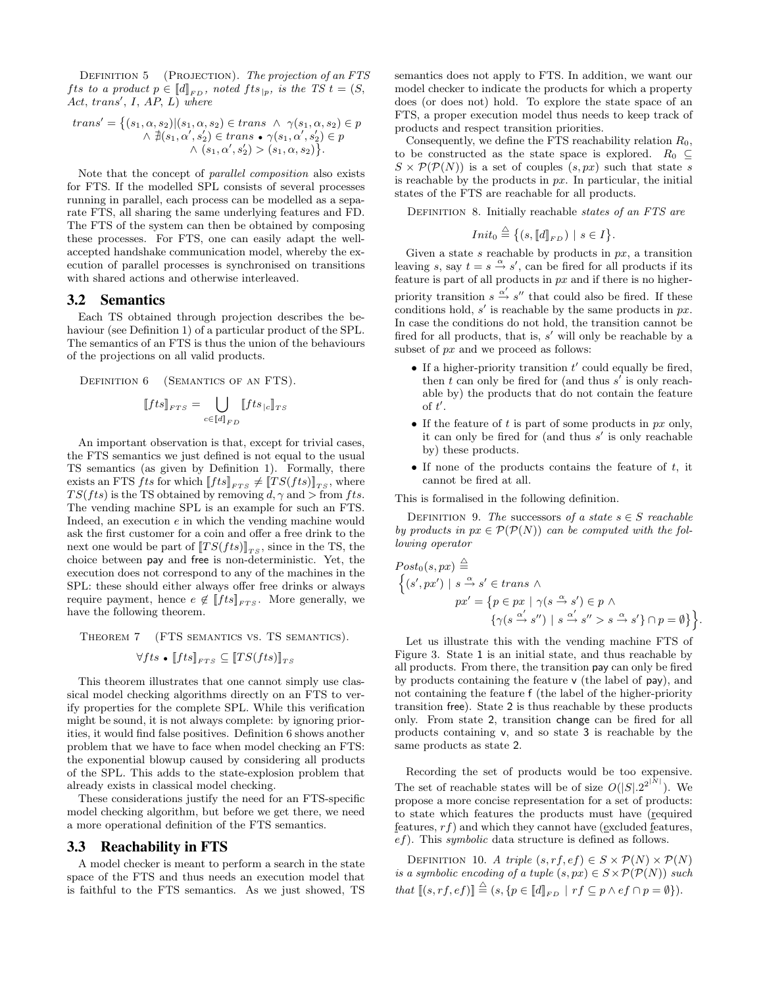DEFINITION 5 (PROJECTION). The projection of an FTS fts to a product  $p \in [d]_{FD}$ , noted fts<sub>|p</sub>, is the TS t = (S,  $Act, trans', I, AP, L$ ) where

$$
trans' = \{ (s_1, \alpha, s_2) | (s_1, \alpha, s_2) \in trans \land \gamma(s_1, \alpha, s_2) \in p
$$
  
 
$$
\land \nexists (s_1, \alpha', s_2') \in trans \bullet \gamma(s_1, \alpha', s_2') \in p
$$
  
 
$$
\land (s_1, \alpha', s_2') > (s_1, \alpha, s_2) \}.
$$

Note that the concept of parallel composition also exists for FTS. If the modelled SPL consists of several processes running in parallel, each process can be modelled as a separate FTS, all sharing the same underlying features and FD. The FTS of the system can then be obtained by composing these processes. For FTS, one can easily adapt the wellaccepted handshake communication model, whereby the execution of parallel processes is synchronised on transitions with shared actions and otherwise interleaved.

#### 3.2 Semantics

Each TS obtained through projection describes the behaviour (see Definition [1\)](#page-2-3) of a particular product of the SPL. The semantics of an FTS is thus the union of the behaviours of the projections on all valid products.

<span id="page-4-0"></span>DEFINITION 6 (SEMANTICS OF AN FTS).

$$
\llbracket fts \rrbracket_{FTS} = \bigcup_{c \in \llbracket d \rrbracket_{FD}} \llbracket fts_{\lvert c} \rrbracket_{TS}
$$

An important observation is that, except for trivial cases, the FTS semantics we just defined is not equal to the usual TS semantics (as given by Definition [1\)](#page-2-3). Formally, there exists an FTS fts for which  $[[fts]]_{FTS} \neq [[TS(fts)]_{TS}$ , where  $TS(fts)$  is the TS obtained by removing  $d, \gamma$  and  $>$  from fts. The vending machine SPL is an example for such an FTS. Indeed, an execution e in which the vending machine would ask the first customer for a coin and offer a free drink to the next one would be part of  $[TS(fts)]_{TS}$ , since in the TS, the choice between pay and free is non-deterministic. Yet, the execution does not correspond to any of the machines in the SPL: these should either always offer free drinks or always require payment, hence  $e \notin [fts]_{FTS}$ . More generally, we have the following theorem.

THEOREM 7 (FTS SEMANTICS VS. TS SEMANTICS).  
\n
$$
\forall fts \bullet [fts]_{FTS} \subseteq [TS(fts)]_{TS}
$$

This theorem illustrates that one cannot simply use classical model checking algorithms directly on an FTS to verify properties for the complete SPL. While this verification might be sound, it is not always complete: by ignoring priorities, it would find false positives. Definition [6](#page-4-0) shows another problem that we have to face when model checking an FTS: the exponential blowup caused by considering all products of the SPL. This adds to the state-explosion problem that already exists in classical model checking.

These considerations justify the need for an FTS-specific model checking algorithm, but before we get there, we need a more operational definition of the FTS semantics.

#### <span id="page-4-1"></span>3.3 Reachability in FTS

A model checker is meant to perform a search in the state space of the FTS and thus needs an execution model that is faithful to the FTS semantics. As we just showed, TS semantics does not apply to FTS. In addition, we want our model checker to indicate the products for which a property does (or does not) hold. To explore the state space of an FTS, a proper execution model thus needs to keep track of products and respect transition priorities.

Consequently, we define the FTS reachability relation  $R_0$ , to be constructed as the state space is explored.  $R_0 \subseteq$  $S \times \mathcal{P}(\mathcal{P}(N))$  is a set of couples  $(s, px)$  such that state s is reachable by the products in  $px$ . In particular, the initial states of the FTS are reachable for all products.

DEFINITION 8. Initially reachable *states of an FTS are* 

$$
Init_0 \stackrel{\triangle}{=} \{ (s, [d]_{FD}) \mid s \in I \}.
$$

Given a state  $s$  reachable by products in  $px$ , a transition leaving s, say  $t = s \stackrel{\alpha}{\rightarrow} s'$ , can be fired for all products if its feature is part of all products in  $px$  and if there is no higherpriority transition  $s \stackrel{\alpha'}{\rightarrow} s''$  that could also be fired. If these conditions hold,  $s'$  is reachable by the same products in  $px$ . In case the conditions do not hold, the transition cannot be fired for all products, that is,  $s'$  will only be reachable by a subset of  $px$  and we proceed as follows:

- If a higher-priority transition  $t'$  could equally be fired, then  $t$  can only be fired for (and thus  $s'$  is only reachable by) the products that do not contain the feature of  $t'$ .
- If the feature of  $t$  is part of some products in  $px$  only, it can only be fired for (and thus  $s'$  is only reachable by) these products.
- If none of the products contains the feature of  $t$ , it cannot be fired at all.

This is formalised in the following definition.

DEFINITION 9. The successors of a state  $s \in S$  reachable by products in  $px \in \mathcal{P}(\mathcal{P}(N))$  can be computed with the following operator

$$
Post_0(s, px) \stackrel{\triangle}{=} \left\{ (s', px') \mid s \stackrel{\alpha}{\to} s' \in trans \land \right\}
$$
  

$$
px' = \left\{ p \in px \mid \gamma(s \stackrel{\alpha}{\to} s') \in p \land \left\{ \gamma(s \stackrel{\alpha'}{\to} s'') \mid s \stackrel{\alpha'}{\to} s'' > s \stackrel{\alpha}{\to} s' \right\} \cap p = \emptyset \right\}.
$$

Let us illustrate this with the vending machine FTS of Figure [3.](#page-3-2) State 1 is an initial state, and thus reachable by all products. From there, the transition pay can only be fired by products containing the feature v (the label of pay), and not containing the feature f (the label of the higher-priority transition free). State 2 is thus reachable by these products only. From state 2, transition change can be fired for all products containing v, and so state 3 is reachable by the same products as state 2.

Recording the set of products would be too expensive. The set of reachable states will be of size  $O(|S| \cdot 2^{2^{|N|}})$ . We propose a more concise representation for a set of products: to state which features the products must have (required features,  $rf$  and which they cannot have (excluded features, ef). This symbolic data structure is defined as follows.

<span id="page-4-2"></span>DEFINITION 10. A triple  $(s, rf, ef) \in S \times \mathcal{P}(N) \times \mathcal{P}(N)$ is a symbolic encoding of a tuple  $(s, px) \in S \times \mathcal{P}(\mathcal{P}(N))$  such that  $[[ (s, rf, ef) ]] \stackrel{\triangle}{=} (s, \{p \in [d]_{FD} \mid rf \subseteq p \land ef \cap p = \emptyset \}).$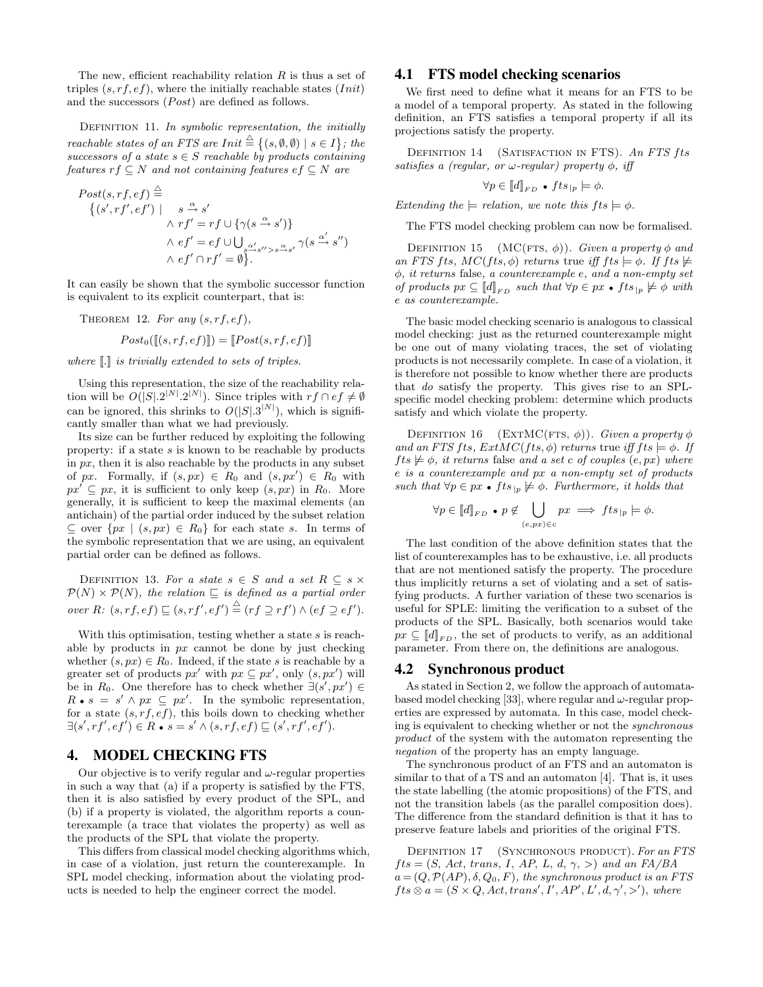The new, efficient reachability relation  $R$  is thus a set of triples  $(s, rf, ef)$ , where the initially reachable states  $(Init)$ and the successors  $(Post)$  are defined as follows.

<span id="page-5-2"></span>DEFINITION 11. In symbolic representation, the initially reachable states of an FTS are Init  $\stackrel{\triangle}{=} \{(s, \emptyset, \emptyset) \mid s \in I\}$ ; the successors of a state  $s \in S$  reachable by products containing features  $rf \subseteq N$  and not containing features  $ef \subseteq N$  are

$$
Post(s, rf, ef) \stackrel{\triangle}{=} \{ (s', rf', ef') \mid s \stackrel{\alpha}{\to} s' \land rf' = rf \cup \{ \gamma(s \stackrel{\alpha}{\to} s') \} \land ef' = ef \cup \bigcup_{s \stackrel{\alpha'}{\to} s'' > s \stackrel{\alpha}{\to} s''} \gamma(s \stackrel{\alpha'}{\to} s'')
$$
  
\land ef' \cap rf' = \emptyset \}

It can easily be shown that the symbolic successor function is equivalent to its explicit counterpart, that is:

THEOREM 12. For any 
$$
(s, rf, ef)
$$
,

$$
Post_0([[s, rf, ef)]] = [Post(s, rf, ef)]
$$

where  $\llbracket . \rrbracket$  is trivially extended to sets of triples.

Using this representation, the size of the reachability relation will be  $O(|S| \cdot 2^{|N|} \cdot 2^{|N|})$ . Since triples with  $rf \cap ef \neq \emptyset$ can be ignored, this shrinks to  $O(|S| \cdot 3^{|N|})$ , which is significantly smaller than what we had previously.

Its size can be further reduced by exploiting the following property: if a state s is known to be reachable by products in  $px$ , then it is also reachable by the products in any subset of px. Formally, if  $(s, px) \in R_0$  and  $(s, px') \in R_0$  with  $px' \subseteq px$ , it is sufficient to only keep  $(s, px)$  in  $R_0$ . More generally, it is sufficient to keep the maximal elements (an antichain) of the partial order induced by the subset relation  $\subseteq$  over  $\{px \mid (s, px) \in R_0\}$  for each state s. In terms of the symbolic representation that we are using, an equivalent partial order can be defined as follows.

DEFINITION 13. For a state  $s \in S$  and a set  $R \subseteq s \times$  $\mathcal{P}(N) \times \mathcal{P}(N)$ , the relation  $\subseteq$  is defined as a partial order over R:  $(s, rf, ef) \sqsubseteq (s, rf', ef') \stackrel{\triangle}{=} (rf \supseteq rf') \wedge (ef \supseteq ef').$ 

With this optimisation, testing whether a state  $s$  is reachable by products in  $px$  cannot be done by just checking whether  $(s, px) \in R_0$ . Indeed, if the state s is reachable by a greater set of products  $px'$  with  $px \nsubseteq px'$ , only  $(s, px')$  will be in  $R_0$ . One therefore has to check whether  $\exists (s', px') \in$  $R \bullet s = s' \land px \subseteq px'.$  In the symbolic representation, for a state  $(s, rf, ef)$ , this boils down to checking whether  $\exists (s', rf', ef') \in R \bullet s = s' \land (s, rf, ef) \sqsubseteq (s', rf', ef').$ 

#### <span id="page-5-0"></span>4. MODEL CHECKING FTS

Our objective is to verify regular and  $\omega$ -regular properties in such a way that (a) if a property is satisfied by the FTS, then it is also satisfied by every product of the SPL, and (b) if a property is violated, the algorithm reports a counterexample (a trace that violates the property) as well as the products of the SPL that violate the property.

This differs from classical model checking algorithms which, in case of a violation, just return the counterexample. In SPL model checking, information about the violating products is needed to help the engineer correct the model.

#### <span id="page-5-1"></span>4.1 FTS model checking scenarios

We first need to define what it means for an FTS to be a model of a temporal property. As stated in the following definition, an FTS satisfies a temporal property if all its projections satisfy the property.

DEFINITION  $14$  (SATISFACTION IN FTS). An FTS fts satisfies a (regular, or  $\omega$ -regular) property  $\phi$ , iff

$$
\forall p \in [\![d]\!]_{FD} \bullet fts_{|p} \models \phi.
$$

Extending the  $\models$  relation, we note this  $fts \models \phi$ .

The FTS model checking problem can now be formalised.

DEFINITION 15 (MC(FTS,  $\phi$ )). Given a property  $\phi$  and an FTS fts,  $MC(fts, \phi)$  returns true iff  $fts \models \phi$ . If  $fts \not\models$ φ, it returns false, a counterexample e, and a non-empty set of products  $px \subseteq [d]_{FD}$  such that  $\forall p \in px \cdot fts_{|p} \not\models \phi$  with e as counterexample.

The basic model checking scenario is analogous to classical model checking: just as the returned counterexample might be one out of many violating traces, the set of violating products is not necessarily complete. In case of a violation, it is therefore not possible to know whether there are products that do satisfy the property. This gives rise to an SPLspecific model checking problem: determine which products satisfy and which violate the property.

DEFINITION 16 (EXTMC(FTS,  $\phi$ )). Given a property  $\phi$ and an FTS fts,  $ExtMC(fts, \phi)$  returns true iff fts  $\models \phi$ . If  $fts \not\models \phi$ , it returns false and a set c of couples  $(e, px)$  where e is a counterexample and px a non-empty set of products such that  $\forall p \in px \bullet fts_{|p} \not\models \phi$ . Furthermore, it holds that

$$
\forall p \in [\![d]\!]_{FD} \bullet p \notin \bigcup_{(e, px) \in c} px \implies fts_{|p} \models \phi.
$$

The last condition of the above definition states that the list of counterexamples has to be exhaustive, i.e. all products that are not mentioned satisfy the property. The procedure thus implicitly returns a set of violating and a set of satisfying products. A further variation of these two scenarios is useful for SPLE: limiting the verification to a subset of the products of the SPL. Basically, both scenarios would take  $px \n\t\subseteq \llbracket d \rrbracket_{FD}$ , the set of products to verify, as an additional parameter. From there on, the definitions are analogous.

#### 4.2 Synchronous product

As stated in Section [2,](#page-2-1) we follow the approach of automata-based model checking [\[33\]](#page-10-16), where regular and  $\omega$ -regular properties are expressed by automata. In this case, model checking is equivalent to checking whether or not the synchronous product of the system with the automaton representing the negation of the property has an empty language.

The synchronous product of an FTS and an automaton is similar to that of a TS and an automaton [\[4\]](#page-10-15). That is, it uses the state labelling (the atomic propositions) of the FTS, and not the transition labels (as the parallel composition does). The difference from the standard definition is that it has to preserve feature labels and priorities of the original FTS.

DEFINITION 17 (SYNCHRONOUS PRODUCT). For an FTS  $fts = (S, Act, trans, I, AP, L, d, \gamma, >)$  and an FA/BA  $a = (Q, \mathcal{P}(AP), \delta, Q_0, F)$ , the synchronous product is an FTS  $fts \otimes a = (S \times Q, Act, trans', I', AP', L', d, \gamma', >')$ , where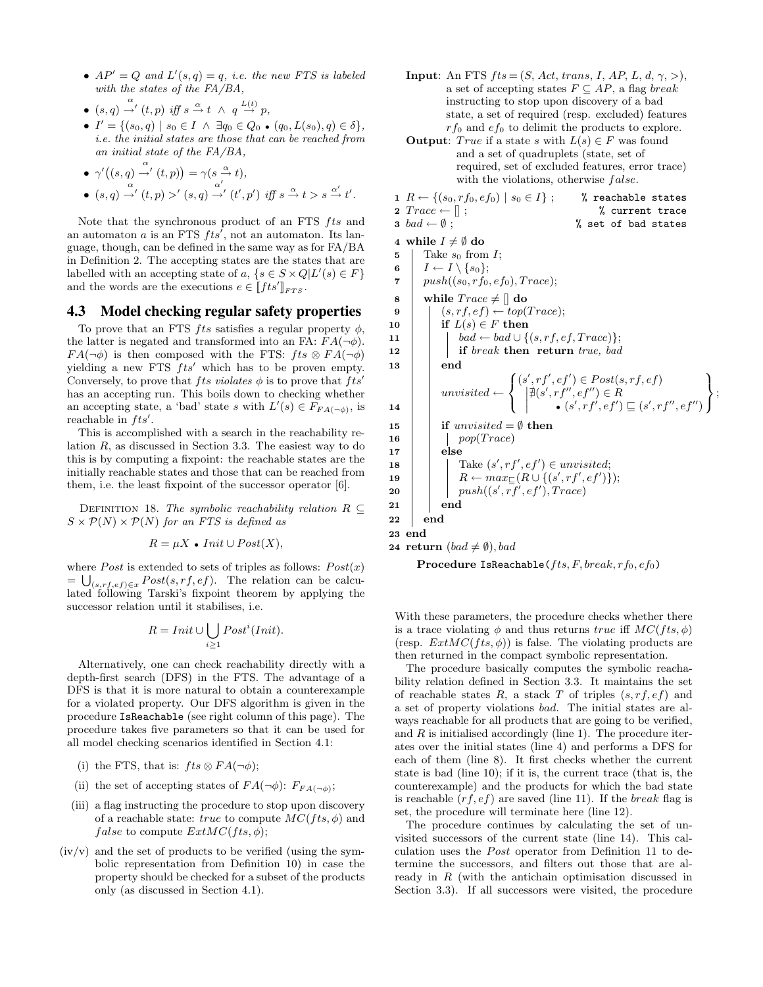- $AP' = Q$  and  $L'(s, q) = q$ , i.e. the new FTS is labeled with the states of the FA/BA,
- $(s, q) \stackrel{\alpha}{\rightarrow} (t, p)$  iff  $s \stackrel{\alpha}{\rightarrow} t \land q \stackrel{L(t)}{\rightarrow} p$ ,

α

•  $I' = \{(s_0, q) \mid s_0 \in I \land \exists q_0 \in Q_0 \bullet (q_0, L(s_0), q) \in \delta \},\$ i.e. the initial states are those that can be reached from an initial state of the FA/BA,

\n- \n
$$
\gamma'\big((s,q)\stackrel{\sim}{\rightarrow'}(t,p)\big) = \gamma(s\stackrel{\alpha}{\rightarrow}t),
$$
\n
\n- \n
$$
(s,q)\stackrel{\alpha'}{\rightarrow'}(t,p) > (s,q)\stackrel{\alpha'}{\rightarrow'}(t',p') \text{ iff } s\stackrel{\alpha}{\rightarrow}t > s\stackrel{\alpha'}{\rightarrow}t'
$$
\n
\n

Note that the synchronous product of an FTS  $fts$  and an automaton  $a$  is an FTS  $fts'$ , not an automaton. Its language, though, can be defined in the same way as for FA/BA in Definition [2.](#page-3-4) The accepting states are the states that are labelled with an accepting state of  $a, \{s \in S \times Q | L'(s) \in F\}$ and the words are the executions  $e \in [fts']_{FTS}$ .

### <span id="page-6-0"></span>4.3 Model checking regular safety properties

To prove that an FTS fts satisfies a regular property  $\phi$ , the latter is negated and transformed into an FA:  $FA(\neg \phi)$ .  $FA(\neg \phi)$  is then composed with the FTS: fts  $\otimes FA(\neg \phi)$ yielding a new FTS  $fts'$  which has to be proven empty. Conversely, to prove that fts violates  $\phi$  is to prove that fts<sup>'</sup> has an accepting run. This boils down to checking whether an accepting state, a 'bad' state s with  $L'(s) \in \overline{F}_{FA(\neg \phi)}$ , is reachable in  $fts'$ .

This is accomplished with a search in the reachability relation  $R$ , as discussed in Section [3.3.](#page-4-1) The easiest way to do this is by computing a fixpoint: the reachable states are the initially reachable states and those that can be reached from them, i.e. the least fixpoint of the successor operator [\[6\]](#page-10-14).

DEFINITION 18. The symbolic reachability relation  $R \subseteq$  $S \times \mathcal{P}(N) \times \mathcal{P}(N)$  for an FTS is defined as

$$
R = \mu X \bullet \text{Init} \cup \text{Post}(X),
$$

where Post is extended to sets of triples as follows:  $Post(x)$  $=\bigcup_{(s,rf,ef)\in x} Post(s,rf,ef).$  The relation can be calculated following Tarski's fixpoint theorem by applying the successor relation until it stabilises, i.e.

$$
R =Init \cup \bigcup_{i \ge 1} Post^i(Init).
$$

Alternatively, one can check reachability directly with a depth-first search (DFS) in the FTS. The advantage of a DFS is that it is more natural to obtain a counterexample for a violated property. Our DFS algorithm is given in the procedure IsReachable (see right column of this page). The procedure takes five parameters so that it can be used for all model checking scenarios identified in Section [4.1:](#page-5-1)

- (i) the FTS, that is:  $fts \otimes FA(\neg \phi);$
- (ii) the set of accepting states of  $FA(\neg \phi)$ :  $F_{FA(\neg \phi)}$ ;
- (iii) a flag instructing the procedure to stop upon discovery of a reachable state: true to compute  $MC(fts, \phi)$  and *false* to compute  $ExtMC(fts, \phi);$
- $(iv/v)$  and the set of products to be verified (using the symbolic representation from Definition [10\)](#page-4-2) in case the property should be checked for a subset of the products only (as discussed in Section [4.1\)](#page-5-1).
- **Input**: An FTS  $fts = (S, Act, trans, I, AP, L, d, \gamma, >),$ a set of accepting states  $F \subseteq AP$ , a flag break instructing to stop upon discovery of a bad state, a set of required (resp. excluded) features  $rf_0$  and  $ef_0$  to delimit the products to explore.
- **Output**: True if a state s with  $L(s) \in F$  was found and a set of quadruplets (state, set of required, set of excluded features, error trace) with the violations, otherwise  $false$ .

| $1 R \leftarrow \{(s_0, r f_0, e f_0) \mid s_0 \in I\};$                         | % reachable states  |
|----------------------------------------------------------------------------------|---------------------|
| 2 $Trace \leftarrow []$ ;                                                        | % current trace     |
| $3 \text{ bad} \leftarrow \emptyset$ :                                           | % set of bad states |
| 4 while $I \neq \emptyset$ do<br>$\mathbb{R}^n$ . The contract of $\mathbb{R}^n$ |                     |

```
\mathbf{5} Take s_0 from I;
```
.

```
6 I \leftarrow I \setminus \{s_0\};
```

```
7 | push((s_0, rf_0, ef_0), Trace);8 while Trace \neq || do
```

```
9 (s, rf, ef) \leftarrow top(Trace);
```

```
10 | if L(s) \in F then
11 | | bad \leftarrow bad \cup \{(s, rf, ef, Trace)\};
```

```
12 if break then return true, bad
```

```
13 end
```
 $unvisited \leftarrow$  $\sqrt{2}$  $\int$  $(s', rf', ef') \in Post(s, rf, ef)$  $\begin{picture}(20,20) \put(0,0){\dashbox{0.5}(10,0){ }} \put(10,0){\dashbox{0.5}(10,0){ }} \put(20,0){\dashbox{0.5}(10,0){ }} \put(30,0){\dashbox{0.5}(10,0){ }} \put(40,0){\dashbox{0.5}(10,0){ }} \put(50,0){\dashbox{0.5}(10,0){ }} \put(60,0){\dashbox{0.5}(10,0){ }} \put(60,0){\dashbox{0.5}(10,0){ }} \put(60,0){\dashbox{0.5}(10,0){ }} \put(60,0){\dashbox{$  $\sharp(s', rf'',ef'') \in R$  $\bullet$   $(s', rf', ef') \sqsubseteq (s', rf'', ef'')$  $\mathcal{L}$  $\mathcal{L}$  $\left| \right|$ 

;

```
\mathcal{L}15 if unvisited = \emptyset then
```
16 | |  $pop(Trace)$ 

 $17$  else

```
18 | | Take (s', rf', ef') \in unvisited;
```

```
\begin{array}{|c|c|c|}\hline \textbf{19} & A \leftarrow max_{\sqsubseteq}(R \cup \{(s', rf', ef')\}); \hline \end{array}
```

```
20 \vert push((s',\overrightarrow{rf}',ef'),Trace)
```
 $21$  end

14

```
22 end
```

```
23 end
24 return (bad \neq \emptyset), bad
```

```
Procedure IsReachable(fts, F, break, rf_0, ef_0)
```
With these parameters, the procedure checks whether there is a trace violating  $\phi$  and thus returns true iff  $MC(fts, \phi)$ (resp.  $ExtMC(fts, \phi)$ ) is false. The violating products are then returned in the compact symbolic representation.

The procedure basically computes the symbolic reachability relation defined in Section [3.3.](#page-4-1) It maintains the set of reachable states  $R$ , a stack  $T$  of triples  $(s, rf, ef)$  and a set of property violations bad. The initial states are always reachable for all products that are going to be verified, and  $R$  is initialised accordingly (line 1). The procedure iterates over the initial states (line 4) and performs a DFS for each of them (line 8). It first checks whether the current state is bad (line 10); if it is, the current trace (that is, the counterexample) and the products for which the bad state is reachable  $(rf, ef)$  are saved (line 11). If the *break* flag is set, the procedure will terminate here (line 12).

The procedure continues by calculating the set of unvisited successors of the current state (line 14). This calculation uses the *Post* operator from Definition [11](#page-5-2) to determine the successors, and filters out those that are already in R (with the antichain optimisation discussed in Section [3.3\)](#page-4-1). If all successors were visited, the procedure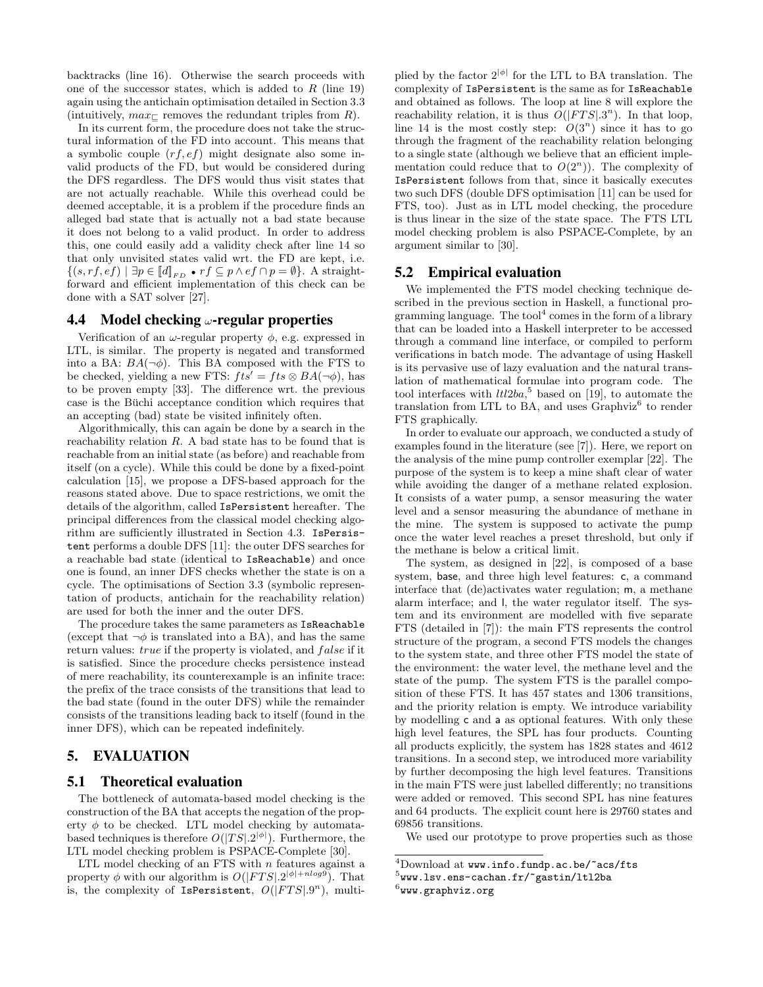backtracks (line 16). Otherwise the search proceeds with one of the successor states, which is added to  $R$  (line 19) again using the antichain optimisation detailed in Section [3.3](#page-4-1) (intuitively,  $max_{\square}$  removes the redundant triples from R).

In its current form, the procedure does not take the structural information of the FD into account. This means that a symbolic couple  $(rf, ef)$  might designate also some invalid products of the FD, but would be considered during the DFS regardless. The DFS would thus visit states that are not actually reachable. While this overhead could be deemed acceptable, it is a problem if the procedure finds an alleged bad state that is actually not a bad state because it does not belong to a valid product. In order to address this, one could easily add a validity check after line 14 so that only unvisited states valid wrt. the FD are kept, i.e.  $\{(s, rf, ef) \mid \exists p \in [d]_{FD} \bullet rf \subseteq p \land ef \cap p = \emptyset\}.$  A straightforward and efficient implementation of this check can be done with a SAT solver [\[27\]](#page-10-18).

#### **4.4** Model checking  $\omega$ -regular properties

Verification of an  $\omega$ -regular property  $\phi$ , e.g. expressed in LTL, is similar. The property is negated and transformed into a BA:  $BA(\neg \phi)$ . This BA composed with the FTS to be checked, yielding a new FTS:  $fts' = fts \otimes BA(\neg \phi)$ , has to be proven empty [\[33\]](#page-10-16). The difference wrt. the previous case is the Büchi acceptance condition which requires that an accepting (bad) state be visited infinitely often.

Algorithmically, this can again be done by a search in the reachability relation  $R$ . A bad state has to be found that is reachable from an initial state (as before) and reachable from itself (on a cycle). While this could be done by a fixed-point calculation [\[15\]](#page-10-19), we propose a DFS-based approach for the reasons stated above. Due to space restrictions, we omit the details of the algorithm, called IsPersistent hereafter. The principal differences from the classical model checking algorithm are sufficiently illustrated in Section [4.3.](#page-6-0) IsPersistent performs a double DFS [\[11\]](#page-10-20): the outer DFS searches for a reachable bad state (identical to IsReachable) and once one is found, an inner DFS checks whether the state is on a cycle. The optimisations of Section [3.3](#page-4-1) (symbolic representation of products, antichain for the reachability relation) are used for both the inner and the outer DFS.

The procedure takes the same parameters as IsReachable (except that  $\neg \phi$  is translated into a BA), and has the same return values: true if the property is violated, and false if it is satisfied. Since the procedure checks persistence instead of mere reachability, its counterexample is an infinite trace: the prefix of the trace consists of the transitions that lead to the bad state (found in the outer DFS) while the remainder consists of the transitions leading back to itself (found in the inner DFS), which can be repeated indefinitely.

## <span id="page-7-0"></span>5. EVALUATION

#### 5.1 Theoretical evaluation

The bottleneck of automata-based model checking is the construction of the BA that accepts the negation of the property  $\phi$  to be checked. LTL model checking by automatabased techniques is therefore  $O(|TS| \cdot 2^{|\phi|})$ . Furthermore, the LTL model checking problem is PSPACE-Complete [\[30\]](#page-10-21).

LTL model checking of an FTS with  $n$  features against a property  $\phi$  with our algorithm is  $O(|FTS|.2^{|\phi|+nlog9})$ . That is, the complexity of IsPersistent,  $O(|FTS|.9^n)$ , multi-

plied by the factor  $2^{|\phi|}$  for the LTL to BA translation. The complexity of IsPersistent is the same as for IsReachable and obtained as follows. The loop at line 8 will explore the reachability relation, it is thus  $O(|FTS|.3^n)$ . In that loop, line 14 is the most costly step:  $O(3^n)$  since it has to go through the fragment of the reachability relation belonging to a single state (although we believe that an efficient implementation could reduce that to  $O(2^n)$ ). The complexity of IsPersistent follows from that, since it basically executes two such DFS (double DFS optimisation [\[11\]](#page-10-20) can be used for FTS, too). Just as in LTL model checking, the procedure is thus linear in the size of the state space. The FTS LTL model checking problem is also PSPACE-Complete, by an argument similar to [\[30\]](#page-10-21).

#### 5.2 Empirical evaluation

We implemented the FTS model checking technique described in the previous section in Haskell, a functional programming language. The  $\text{tool}^4$  $\text{tool}^4$  comes in the form of a library that can be loaded into a Haskell interpreter to be accessed through a command line interface, or compiled to perform verifications in batch mode. The advantage of using Haskell is its pervasive use of lazy evaluation and the natural translation of mathematical formulae into program code. The tool interfaces with  $ltt12ba$ <sup>[5](#page-7-2)</sup> based on [\[19\]](#page-10-22), to automate the translation from LTL to BA, and uses  $Graphviz^6$  $Graphviz^6$  to render FTS graphically.

In order to evaluate our approach, we conducted a study of examples found in the literature (see [\[7\]](#page-10-23)). Here, we report on the analysis of the mine pump controller exemplar [\[22\]](#page-10-13). The purpose of the system is to keep a mine shaft clear of water while avoiding the danger of a methane related explosion. It consists of a water pump, a sensor measuring the water level and a sensor measuring the abundance of methane in the mine. The system is supposed to activate the pump once the water level reaches a preset threshold, but only if the methane is below a critical limit.

The system, as designed in [\[22\]](#page-10-13), is composed of a base system, base, and three high level features: c, a command interface that (de)activates water regulation; m, a methane alarm interface; and l, the water regulator itself. The system and its environment are modelled with five separate FTS (detailed in [\[7\]](#page-10-23)): the main FTS represents the control structure of the program, a second FTS models the changes to the system state, and three other FTS model the state of the environment: the water level, the methane level and the state of the pump. The system FTS is the parallel composition of these FTS. It has 457 states and 1306 transitions, and the priority relation is empty. We introduce variability by modelling c and a as optional features. With only these high level features, the SPL has four products. Counting all products explicitly, the system has 1828 states and 4612 transitions. In a second step, we introduced more variability by further decomposing the high level features. Transitions in the main FTS were just labelled differently; no transitions were added or removed. This second SPL has nine features and 64 products. The explicit count here is 29760 states and 69856 transitions.

We used our prototype to prove properties such as those

<span id="page-7-1"></span><sup>4</sup>Download at <www.info.fundp.ac.be/~acs/fts>

<span id="page-7-2"></span><sup>5</sup> <www.lsv.ens-cachan.fr/~gastin/ltl2ba>

<span id="page-7-3"></span> $^6$ <www.graphviz.org>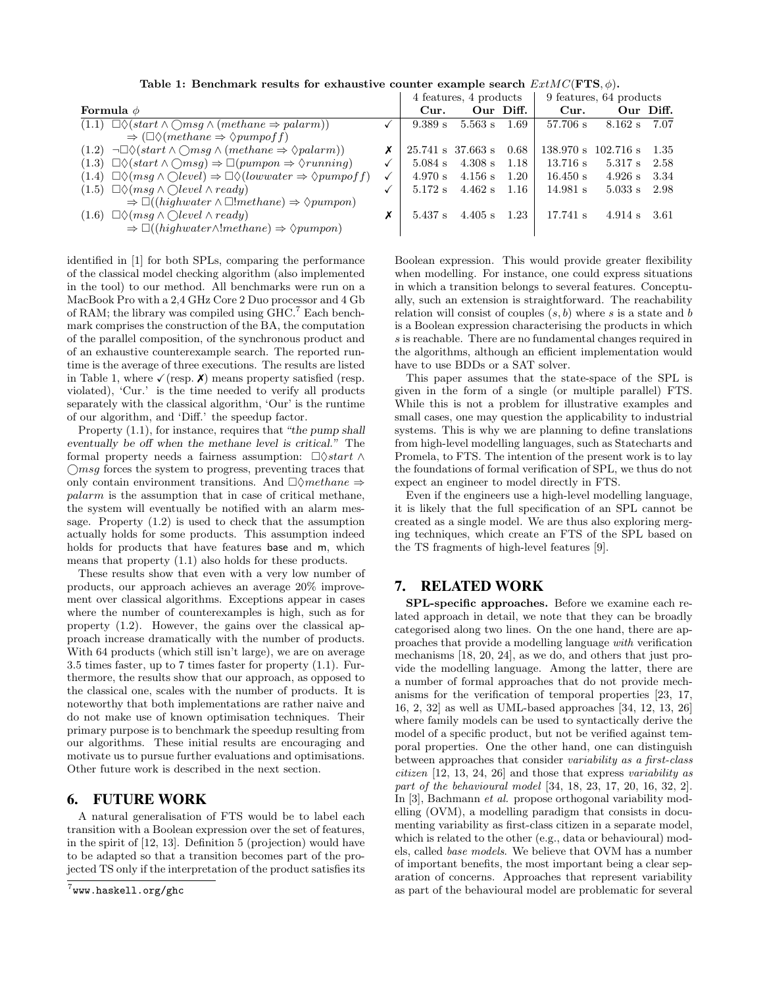<span id="page-8-3"></span>Table 1: Benchmark results for exhaustive counter example search  $ExtMC(\text{FTS}, \phi)$ .

| 4 features, 4 products                                                                                                   |  |           |                          |           | 9 features, 64 products |                        |        |
|--------------------------------------------------------------------------------------------------------------------------|--|-----------|--------------------------|-----------|-------------------------|------------------------|--------|
| Formula $\phi$                                                                                                           |  | Cur.      |                          | Our Diff. | Cur.                    | Our Diff.              |        |
| $\overline{(1.1) \Box \Diamond (start \land \bigcirc msg \land (methane \Rightarrow palarm))}$                           |  | 9.389 s   | $5.563 \text{ s}$ $1.69$ |           | $57.706$ s              | 8.162 s 7.07           |        |
| $\Rightarrow (\Box \Diamond (methane \Rightarrow \Diamond pumpoff))$                                                     |  |           |                          |           |                         |                        |        |
| $(1.2) \quad \neg \Box \Diamond (start \land \bigcirc msg \land (methane \Rightarrow \Diamond palarm))$                  |  |           | 25.741 s 37.663 s        | 0.68      | 138.970 s               | $102.716$ s            | - 1.35 |
| $(1.3) \Box \Diamond (start \land \bigcirc msg) \Rightarrow \Box (pumpon \Rightarrow \Diamond running)$                  |  | $5.084$ s | $4.308$ s                | 1.18      | $13.716$ s              | 5.317 s 2.58           |        |
| $(1.4) \quad \Box \Diamond (msq \land \bigcirc level) \Rightarrow \Box \Diamond (lowwater \Rightarrow \Diamond pumpoff)$ |  | 4.970 s   | $4.156$ s                | 1.20      | 16.450 s                | $4.926$ s              | - 3.34 |
| $(1.5) \Box \Diamond (msq \land \bigcirc level \land ready)$                                                             |  | $5.172$ s | $4.462$ s                | 1.16      | 14.981 s                | $5.033 \text{ s}$ 2.98 |        |
| $\Rightarrow \Box((higher \land \Box!methane) \Rightarrow \Diamond pumpon)$                                              |  |           |                          |           |                         |                        |        |
| $(1.6) \Box \Diamond (msg \land \bigcirc level \land ready)$                                                             |  | $5.437$ s | $4.405$ s                | 1.23      | 17.741 s                | $4.914$ s              | -3.61  |
| $\Rightarrow \Box((higher \land !math) \Rightarrow \Diamond pumpon)$                                                     |  |           |                          |           |                         |                        |        |

identified in [\[1\]](#page-10-24) for both SPLs, comparing the performance of the classical model checking algorithm (also implemented in the tool) to our method. All benchmarks were run on a MacBook Pro with a 2,4 GHz Core 2 Duo processor and 4 Gb of RAM; the library was compiled using GHC.[7](#page-8-2) Each benchmark comprises the construction of the BA, the computation of the parallel composition, of the synchronous product and of an exhaustive counterexample search. The reported runtime is the average of three executions. The results are listed in Table [1,](#page-8-3) where  $\checkmark$  (resp.  $\checkmark$ ) means property satisfied (resp. violated), 'Cur.' is the time needed to verify all products separately with the classical algorithm, 'Our' is the runtime of our algorithm, and 'Diff.' the speedup factor.

Property  $(1.1)$ , for instance, requires that "the pump shall" eventually be off when the methane level is critical." The formal property needs a fairness assumption:  $\Box \Diamond start \wedge \Diamond$  $\bigcirc$ *msg* forces the system to progress, preventing traces that only contain environment transitions. And  $\Box\Diamond$ *methane*  $\Rightarrow$ palarm is the assumption that in case of critical methane, the system will eventually be notified with an alarm message. Property (1.2) is used to check that the assumption actually holds for some products. This assumption indeed holds for products that have features base and m, which means that property (1.1) also holds for these products.

These results show that even with a very low number of products, our approach achieves an average 20% improvement over classical algorithms. Exceptions appear in cases where the number of counterexamples is high, such as for property (1.2). However, the gains over the classical approach increase dramatically with the number of products. With 64 products (which still isn't large), we are on average 3.5 times faster, up to 7 times faster for property (1.1). Furthermore, the results show that our approach, as opposed to the classical one, scales with the number of products. It is noteworthy that both implementations are rather naive and do not make use of known optimisation techniques. Their primary purpose is to benchmark the speedup resulting from our algorithms. These initial results are encouraging and motivate us to pursue further evaluations and optimisations. Other future work is described in the next section.

## <span id="page-8-1"></span>6. FUTURE WORK

A natural generalisation of FTS would be to label each transition with a Boolean expression over the set of features, in the spirit of [\[12,](#page-10-17) [13\]](#page-10-25). Definition [5](#page-3-5) (projection) would have to be adapted so that a transition becomes part of the projected TS only if the interpretation of the product satisfies its Boolean expression. This would provide greater flexibility when modelling. For instance, one could express situations in which a transition belongs to several features. Conceptually, such an extension is straightforward. The reachability relation will consist of couples  $(s, b)$  where s is a state and b is a Boolean expression characterising the products in which s is reachable. There are no fundamental changes required in the algorithms, although an efficient implementation would have to use BDDs or a SAT solver.

This paper assumes that the state-space of the SPL is given in the form of a single (or multiple parallel) FTS. While this is not a problem for illustrative examples and small cases, one may question the applicability to industrial systems. This is why we are planning to define translations from high-level modelling languages, such as Statecharts and Promela, to FTS. The intention of the present work is to lay the foundations of formal verification of SPL, we thus do not expect an engineer to model directly in FTS.

Even if the engineers use a high-level modelling language, it is likely that the full specification of an SPL cannot be created as a single model. We are thus also exploring merging techniques, which create an FTS of the SPL based on the TS fragments of high-level features [\[9\]](#page-10-12).

### <span id="page-8-0"></span>7. RELATED WORK

SPL-specific approaches. Before we examine each related approach in detail, we note that they can be broadly categorised along two lines. On the one hand, there are approaches that provide a modelling language with verification mechanisms [\[18,](#page-10-7) [20,](#page-10-11) [24\]](#page-10-9), as we do, and others that just provide the modelling language. Among the latter, there are a number of formal approaches that do not provide mechanisms for the verification of temporal properties [\[23,](#page-10-8) [17,](#page-10-5) [16,](#page-10-26) [2,](#page-10-10) [32\]](#page-10-27) as well as UML-based approaches [\[34,](#page-10-6) [12,](#page-10-17) [13,](#page-10-25) [26\]](#page-10-28) where family models can be used to syntactically derive the model of a specific product, but not be verified against temporal properties. One the other hand, one can distinguish between approaches that consider variability as a first-class citizen [\[12,](#page-10-17) [13,](#page-10-25) [24,](#page-10-9) [26\]](#page-10-28) and those that express variability as part of the behavioural model [\[34,](#page-10-6) [18,](#page-10-7) [23,](#page-10-8) [17,](#page-10-5) [20,](#page-10-11) [16,](#page-10-26) [32,](#page-10-27) [2\]](#page-10-10). In [\[3\]](#page-10-29), Bachmann et al. propose orthogonal variability modelling (OVM), a modelling paradigm that consists in documenting variability as first-class citizen in a separate model, which is related to the other (e.g., data or behavioural) models, called base models. We believe that OVM has a number of important benefits, the most important being a clear separation of concerns. Approaches that represent variability as part of the behavioural model are problematic for several

<span id="page-8-2"></span> $^7$ <www.haskell.org/ghc>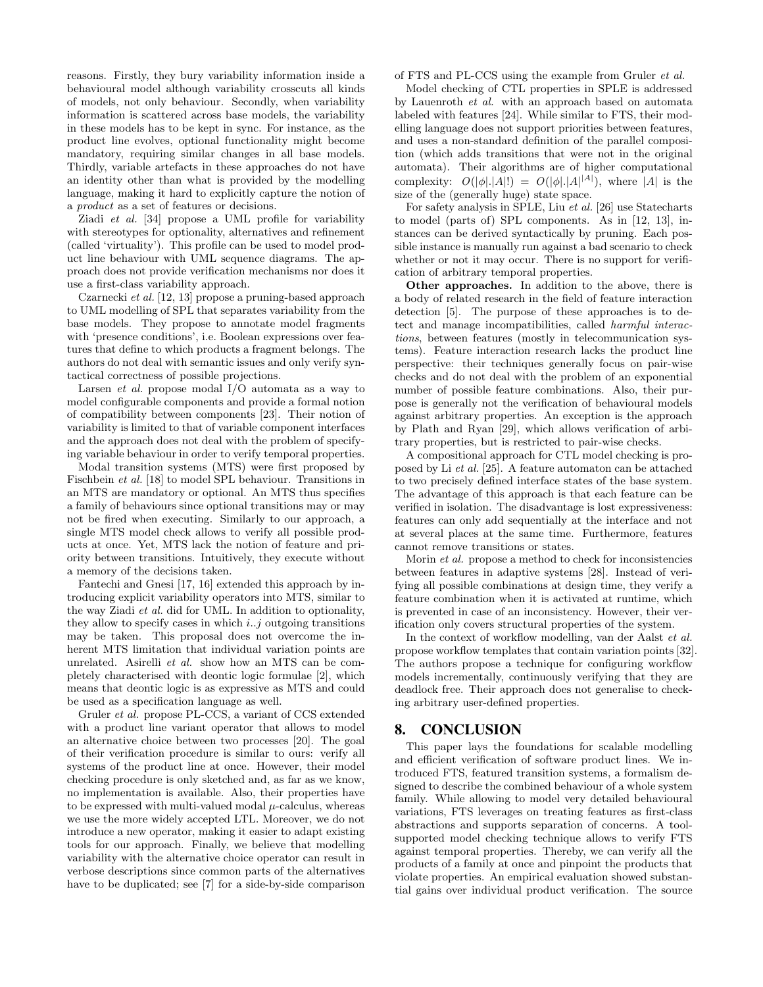reasons. Firstly, they bury variability information inside a behavioural model although variability crosscuts all kinds of models, not only behaviour. Secondly, when variability information is scattered across base models, the variability in these models has to be kept in sync. For instance, as the product line evolves, optional functionality might become mandatory, requiring similar changes in all base models. Thirdly, variable artefacts in these approaches do not have an identity other than what is provided by the modelling language, making it hard to explicitly capture the notion of a product as a set of features or decisions.

Ziadi et al. [\[34\]](#page-10-6) propose a UML profile for variability with stereotypes for optionality, alternatives and refinement (called 'virtuality'). This profile can be used to model product line behaviour with UML sequence diagrams. The approach does not provide verification mechanisms nor does it use a first-class variability approach.

Czarnecki et al. [\[12,](#page-10-17) [13\]](#page-10-25) propose a pruning-based approach to UML modelling of SPL that separates variability from the base models. They propose to annotate model fragments with 'presence conditions', i.e. Boolean expressions over features that define to which products a fragment belongs. The authors do not deal with semantic issues and only verify syntactical correctness of possible projections.

Larsen *et al.* propose modal  $I/O$  automata as a way to model configurable components and provide a formal notion of compatibility between components [\[23\]](#page-10-8). Their notion of variability is limited to that of variable component interfaces and the approach does not deal with the problem of specifying variable behaviour in order to verify temporal properties.

Modal transition systems (MTS) were first proposed by Fischbein et al. [\[18\]](#page-10-7) to model SPL behaviour. Transitions in an MTS are mandatory or optional. An MTS thus specifies a family of behaviours since optional transitions may or may not be fired when executing. Similarly to our approach, a single MTS model check allows to verify all possible products at once. Yet, MTS lack the notion of feature and priority between transitions. Intuitively, they execute without a memory of the decisions taken.

Fantechi and Gnesi [\[17,](#page-10-5) [16\]](#page-10-26) extended this approach by introducing explicit variability operators into MTS, similar to the way Ziadi et al. did for UML. In addition to optionality, they allow to specify cases in which  $i..j$  outgoing transitions may be taken. This proposal does not overcome the inherent MTS limitation that individual variation points are unrelated. Asirelli et al. show how an MTS can be completely characterised with deontic logic formulae [\[2\]](#page-10-10), which means that deontic logic is as expressive as MTS and could be used as a specification language as well.

Gruler et al. propose PL-CCS, a variant of CCS extended with a product line variant operator that allows to model an alternative choice between two processes [\[20\]](#page-10-11). The goal of their verification procedure is similar to ours: verify all systems of the product line at once. However, their model checking procedure is only sketched and, as far as we know, no implementation is available. Also, their properties have to be expressed with multi-valued modal  $\mu$ -calculus, whereas we use the more widely accepted LTL. Moreover, we do not introduce a new operator, making it easier to adapt existing tools for our approach. Finally, we believe that modelling variability with the alternative choice operator can result in verbose descriptions since common parts of the alternatives have to be duplicated; see [\[7\]](#page-10-23) for a side-by-side comparison of FTS and PL-CCS using the example from Gruler et al.

Model checking of CTL properties in SPLE is addressed by Lauenroth et al. with an approach based on automata labeled with features [\[24\]](#page-10-9). While similar to FTS, their modelling language does not support priorities between features, and uses a non-standard definition of the parallel composition (which adds transitions that were not in the original automata). Their algorithms are of higher computational complexity:  $O(|\phi|, |A|!) = O(|\phi|, |A|^{|A|}),$  where |A| is the size of the (generally huge) state space.

For safety analysis in SPLE, Liu et al. [\[26\]](#page-10-28) use Statecharts to model (parts of) SPL components. As in [\[12,](#page-10-17) [13\]](#page-10-25), instances can be derived syntactically by pruning. Each possible instance is manually run against a bad scenario to check whether or not it may occur. There is no support for verification of arbitrary temporal properties.

Other approaches. In addition to the above, there is a body of related research in the field of feature interaction detection [\[5\]](#page-10-30). The purpose of these approaches is to detect and manage incompatibilities, called harmful interactions, between features (mostly in telecommunication systems). Feature interaction research lacks the product line perspective: their techniques generally focus on pair-wise checks and do not deal with the problem of an exponential number of possible feature combinations. Also, their purpose is generally not the verification of behavioural models against arbitrary properties. An exception is the approach by Plath and Ryan [\[29\]](#page-10-31), which allows verification of arbitrary properties, but is restricted to pair-wise checks.

A compositional approach for CTL model checking is proposed by Li et al. [\[25\]](#page-10-32). A feature automaton can be attached to two precisely defined interface states of the base system. The advantage of this approach is that each feature can be verified in isolation. The disadvantage is lost expressiveness: features can only add sequentially at the interface and not at several places at the same time. Furthermore, features cannot remove transitions or states.

Morin et al. propose a method to check for inconsistencies between features in adaptive systems [\[28\]](#page-10-33). Instead of verifying all possible combinations at design time, they verify a feature combination when it is activated at runtime, which is prevented in case of an inconsistency. However, their verification only covers structural properties of the system.

In the context of workflow modelling, van der Aalst et al. propose workflow templates that contain variation points [\[32\]](#page-10-27). The authors propose a technique for configuring workflow models incrementally, continuously verifying that they are deadlock free. Their approach does not generalise to checking arbitrary user-defined properties.

## <span id="page-9-0"></span>8. CONCLUSION

This paper lays the foundations for scalable modelling and efficient verification of software product lines. We introduced FTS, featured transition systems, a formalism designed to describe the combined behaviour of a whole system family. While allowing to model very detailed behavioural variations, FTS leverages on treating features as first-class abstractions and supports separation of concerns. A toolsupported model checking technique allows to verify FTS against temporal properties. Thereby, we can verify all the products of a family at once and pinpoint the products that violate properties. An empirical evaluation showed substantial gains over individual product verification. The source